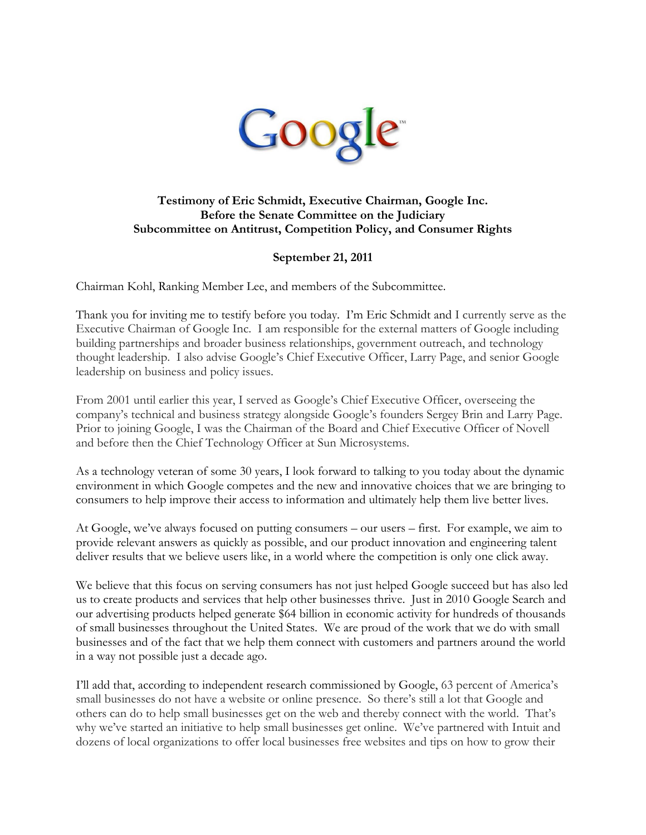

# **Testimony of Eric Schmidt, Executive Chairman, Google Inc. Before the Senate Committee on the Judiciary Subcommittee on Antitrust, Competition Policy, and Consumer Rights**

# **September 21, 2011**

Chairman Kohl, Ranking Member Lee, and members of the Subcommittee.

Thank you for inviting me to testify before you today. I"m Eric Schmidt and I currently serve as the Executive Chairman of Google Inc. I am responsible for the external matters of Google including building partnerships and broader business relationships, government outreach, and technology thought leadership. I also advise Google"s Chief Executive Officer, Larry Page, and senior Google leadership on business and policy issues.

From 2001 until earlier this year, I served as Google's Chief Executive Officer, overseeing the company"s technical and business strategy alongside Google"s founders Sergey Brin and Larry Page. Prior to joining Google, I was the Chairman of the Board and Chief Executive Officer of Novell and before then the Chief Technology Officer at Sun Microsystems.

As a technology veteran of some 30 years, I look forward to talking to you today about the dynamic environment in which Google competes and the new and innovative choices that we are bringing to consumers to help improve their access to information and ultimately help them live better lives.

At Google, we"ve always focused on putting consumers – our users – first. For example, we aim to provide relevant answers as quickly as possible, and our product innovation and engineering talent deliver results that we believe users like, in a world where the competition is only one click away.

We believe that this focus on serving consumers has not just helped Google succeed but has also led us to create products and services that help other businesses thrive. Just in 2010 Google Search and our advertising products helped generate \$64 billion in economic activity for hundreds of thousands of small businesses throughout the United States. We are proud of the work that we do with small businesses and of the fact that we help them connect with customers and partners around the world in a way not possible just a decade ago.

I'll add that, according to independent research commissioned by Google, 63 percent of America's small businesses do not have a website or online presence. So there"s still a lot that Google and others can do to help small businesses get on the web and thereby connect with the world. That"s why we"ve started an initiative to help small businesses get online. We"ve partnered with Intuit and dozens of local organizations to offer local businesses free websites and tips on how to grow their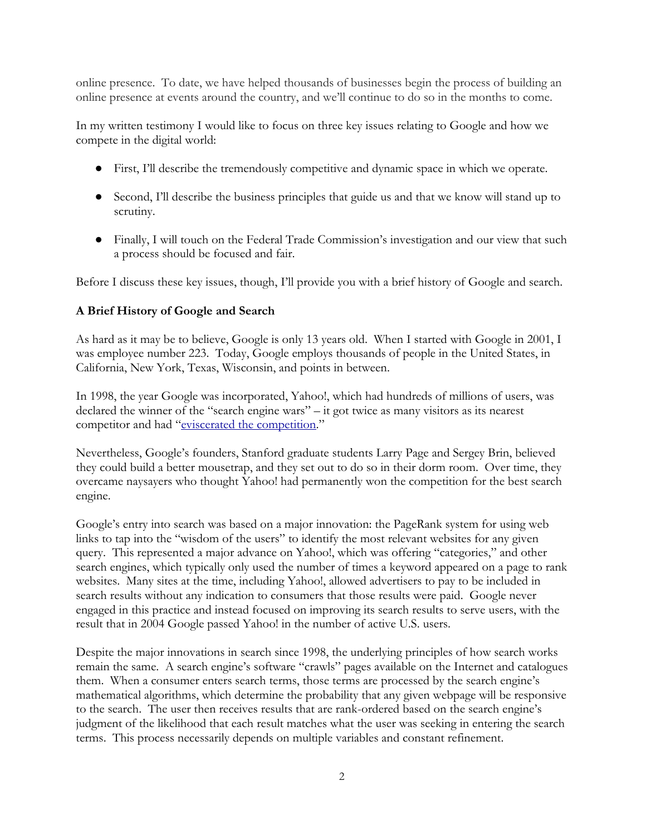online presence. To date, we have helped thousands of businesses begin the process of building an online presence at events around the country, and we"ll continue to do so in the months to come.

In my written testimony I would like to focus on three key issues relating to Google and how we compete in the digital world:

- First, I"ll describe the tremendously competitive and dynamic space in which we operate.
- Second, I"ll describe the business principles that guide us and that we know will stand up to scrutiny.
- Finally, I will touch on the Federal Trade Commission's investigation and our view that such a process should be focused and fair.

Before I discuss these key issues, though, I'll provide you with a brief history of Google and search.

# **A Brief History of Google and Search**

As hard as it may be to believe, Google is only 13 years old. When I started with Google in 2001, I was employee number 223. Today, Google employs thousands of people in the United States, in California, New York, Texas, Wisconsin, and points in between.

In 1998, the year Google was incorporated, Yahoo!, which had hundreds of millions of users, was declared the winner of the "search engine wars" – it got twice as many visitors as its nearest competitor and had "[eviscerated](http://money.cnn.com/magazines/fortune/fortune_archive/1998/03/02/238576/index.htm.) [the](http://money.cnn.com/magazines/fortune/fortune_archive/1998/03/02/238576/index.htm.) [competition.](http://money.cnn.com/magazines/fortune/fortune_archive/1998/03/02/238576/index.htm.)"

Nevertheless, Google"s founders, Stanford graduate students Larry Page and Sergey Brin, believed they could build a better mousetrap, and they set out to do so in their dorm room. Over time, they overcame naysayers who thought Yahoo! had permanently won the competition for the best search engine.

Google"s entry into search was based on a major innovation: the PageRank system for using web links to tap into the "wisdom of the users" to identify the most relevant websites for any given query. This represented a major advance on Yahoo!, which was offering "categories," and other search engines, which typically only used the number of times a keyword appeared on a page to rank websites. Many sites at the time, including Yahoo!, allowed advertisers to pay to be included in search results without any indication to consumers that those results were paid. Google never engaged in this practice and instead focused on improving its search results to serve users, with the result that in 2004 Google passed Yahoo! in the number of active U.S. users.

Despite the major innovations in search since 1998, the underlying principles of how search works remain the same. A search engine's software "crawls" pages available on the Internet and catalogues them. When a consumer enters search terms, those terms are processed by the search engine"s mathematical algorithms, which determine the probability that any given webpage will be responsive to the search. The user then receives results that are rank-ordered based on the search engine"s judgment of the likelihood that each result matches what the user was seeking in entering the search terms. This process necessarily depends on multiple variables and constant refinement.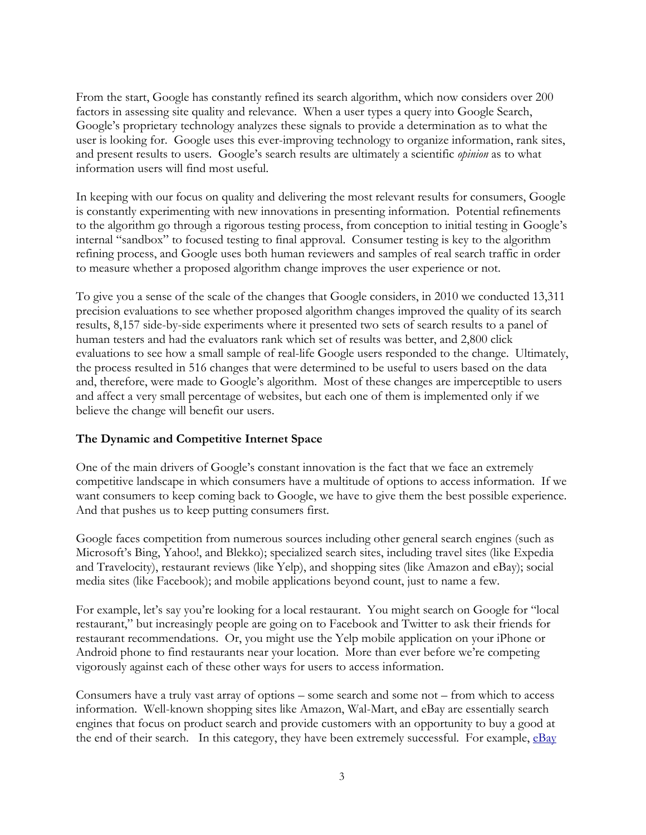From the start, Google has constantly refined its search algorithm, which now considers over 200 factors in assessing site quality and relevance. When a user types a query into Google Search, Google"s proprietary technology analyzes these signals to provide a determination as to what the user is looking for. Google uses this ever-improving technology to organize information, rank sites, and present results to users. Google"s search results are ultimately a scientific *opinion* as to what information users will find most useful.

In keeping with our focus on quality and delivering the most relevant results for consumers, Google is constantly experimenting with new innovations in presenting information. Potential refinements to the algorithm go through a rigorous testing process, from conception to initial testing in Google"s internal "sandbox" to focused testing to final approval. Consumer testing is key to the algorithm refining process, and Google uses both human reviewers and samples of real search traffic in order to measure whether a proposed algorithm change improves the user experience or not.

To give you a sense of the scale of the changes that Google considers, in 2010 we conducted 13,311 precision evaluations to see whether proposed algorithm changes improved the quality of its search results, 8,157 side-by-side experiments where it presented two sets of search results to a panel of human testers and had the evaluators rank which set of results was better, and 2,800 click evaluations to see how a small sample of real-life Google users responded to the change. Ultimately, the process resulted in 516 changes that were determined to be useful to users based on the data and, therefore, were made to Google's algorithm. Most of these changes are imperceptible to users and affect a very small percentage of websites, but each one of them is implemented only if we believe the change will benefit our users.

#### **The Dynamic and Competitive Internet Space**

One of the main drivers of Google"s constant innovation is the fact that we face an extremely competitive landscape in which consumers have a multitude of options to access information. If we want consumers to keep coming back to Google, we have to give them the best possible experience. And that pushes us to keep putting consumers first.

Google faces competition from numerous sources including other general search engines (such as Microsoft"s Bing, Yahoo!, and Blekko); specialized search sites, including travel sites (like Expedia and Travelocity), restaurant reviews (like Yelp), and shopping sites (like Amazon and eBay); social media sites (like Facebook); and mobile applications beyond count, just to name a few.

For example, let's say you're looking for a local restaurant. You might search on Google for "local restaurant," but increasingly people are going on to Facebook and Twitter to ask their friends for restaurant recommendations. Or, you might use the Yelp mobile application on your iPhone or Android phone to find restaurants near your location. More than ever before we"re competing vigorously against each of these other ways for users to access information.

Consumers have a truly vast array of options – some search and some not – from which to access information. Well-known shopping sites like Amazon, Wal-Mart, and eBay are essentially search engines that focus on product search and provide customers with an opportunity to buy a good at the end of their search. In this category, they have been extremely successful. For example, [eBay](http://www.google.com/url?q=http%3A%2F%2Finvestor.ebay.com%2Freleasedetail.cfm%3FReleaseID%3D534359&sa=D&sntz=1&usg=AFQjCNHYy0vmMr1cy3FvMuFPXYfuj7oXsg)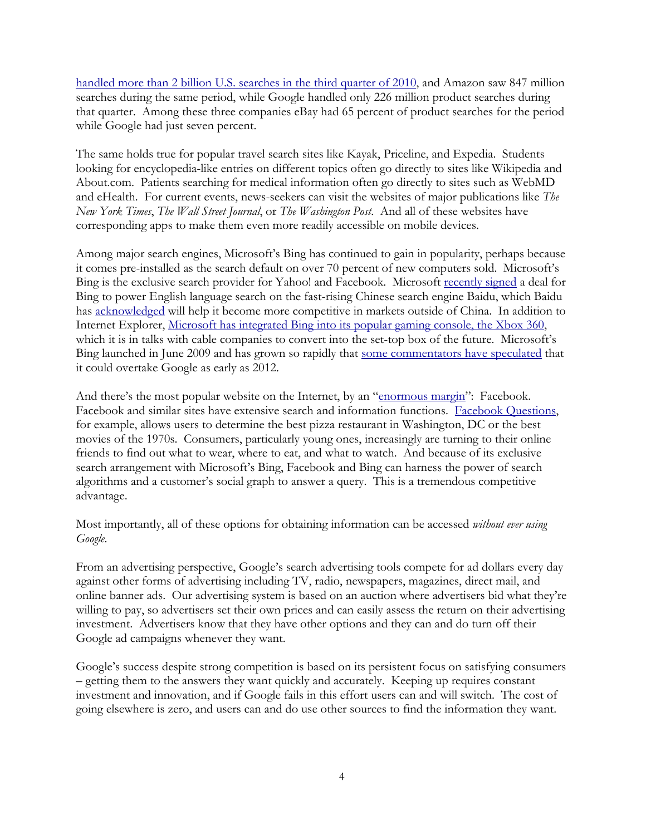[handled](http://www.google.com/url?q=http%3A%2F%2Finvestor.ebay.com%2Freleasedetail.cfm%3FReleaseID%3D534359&sa=D&sntz=1&usg=AFQjCNHYy0vmMr1cy3FvMuFPXYfuj7oXsg) [more](http://www.google.com/url?q=http%3A%2F%2Finvestor.ebay.com%2Freleasedetail.cfm%3FReleaseID%3D534359&sa=D&sntz=1&usg=AFQjCNHYy0vmMr1cy3FvMuFPXYfuj7oXsg) [than](http://www.google.com/url?q=http%3A%2F%2Finvestor.ebay.com%2Freleasedetail.cfm%3FReleaseID%3D534359&sa=D&sntz=1&usg=AFQjCNHYy0vmMr1cy3FvMuFPXYfuj7oXsg) [2 billion](http://www.google.com/url?q=http%3A%2F%2Finvestor.ebay.com%2Freleasedetail.cfm%3FReleaseID%3D534359&sa=D&sntz=1&usg=AFQjCNHYy0vmMr1cy3FvMuFPXYfuj7oXsg) [U.S. searches](http://www.google.com/url?q=http%3A%2F%2Finvestor.ebay.com%2Freleasedetail.cfm%3FReleaseID%3D534359&sa=D&sntz=1&usg=AFQjCNHYy0vmMr1cy3FvMuFPXYfuj7oXsg) [in](http://www.google.com/url?q=http%3A%2F%2Finvestor.ebay.com%2Freleasedetail.cfm%3FReleaseID%3D534359&sa=D&sntz=1&usg=AFQjCNHYy0vmMr1cy3FvMuFPXYfuj7oXsg) [the](http://www.google.com/url?q=http%3A%2F%2Finvestor.ebay.com%2Freleasedetail.cfm%3FReleaseID%3D534359&sa=D&sntz=1&usg=AFQjCNHYy0vmMr1cy3FvMuFPXYfuj7oXsg) [third](http://www.google.com/url?q=http%3A%2F%2Finvestor.ebay.com%2Freleasedetail.cfm%3FReleaseID%3D534359&sa=D&sntz=1&usg=AFQjCNHYy0vmMr1cy3FvMuFPXYfuj7oXsg) [quarter](http://www.google.com/url?q=http%3A%2F%2Finvestor.ebay.com%2Freleasedetail.cfm%3FReleaseID%3D534359&sa=D&sntz=1&usg=AFQjCNHYy0vmMr1cy3FvMuFPXYfuj7oXsg) [of](http://www.google.com/url?q=http%3A%2F%2Finvestor.ebay.com%2Freleasedetail.cfm%3FReleaseID%3D534359&sa=D&sntz=1&usg=AFQjCNHYy0vmMr1cy3FvMuFPXYfuj7oXsg) [2010,](http://www.google.com/url?q=http%3A%2F%2Finvestor.ebay.com%2Freleasedetail.cfm%3FReleaseID%3D534359&sa=D&sntz=1&usg=AFQjCNHYy0vmMr1cy3FvMuFPXYfuj7oXsg) and Amazon saw 847 million searches during the same period, while Google handled only 226 million product searches during that quarter. Among these three companies eBay had 65 percent of product searches for the period while Google had just seven percent.

The same holds true for popular travel search sites like Kayak, Priceline, and Expedia. Students looking for encyclopedia-like entries on different topics often go directly to sites like Wikipedia and About.com. Patients searching for medical information often go directly to sites such as WebMD and eHealth. For current events, news-seekers can visit the websites of major publications like *The New York Times*, *The Wall Street Journal*, or *The Washington Post*. And all of these websites have corresponding apps to make them even more readily accessible on mobile devices.

Among major search engines, Microsoft"s Bing has continued to gain in popularity, perhaps because it comes pre-installed as the search default on over 70 percent of new computers sold. Microsoft's Bing is the exclusive search provider for Yahoo! and Facebook. Microsoft [recently](http://articles.latimes.com/2011/jul/06/business/la-fi-microsoft-baidu-20110706) [signed](http://articles.latimes.com/2011/jul/06/business/la-fi-microsoft-baidu-20110706) a deal for Bing to power English language search on the fast-rising Chinese search engine Baidu, which Baidu has [acknowledged](http://articles.latimes.com/2011/jul/06/business/la-fi-microsoft-baidu-20110706) will help it become more competitive in markets outside of China. In addition to Internet Explorer, [Microsoft](http://www.digitaltrends.com/gaming/holiday-xbox-360-dashboard-update-offers-social-achievements-bing-search/) [has](http://www.digitaltrends.com/gaming/holiday-xbox-360-dashboard-update-offers-social-achievements-bing-search/) [integrated](http://www.digitaltrends.com/gaming/holiday-xbox-360-dashboard-update-offers-social-achievements-bing-search/) [Bing](http://www.digitaltrends.com/gaming/holiday-xbox-360-dashboard-update-offers-social-achievements-bing-search/) [into](http://www.digitaltrends.com/gaming/holiday-xbox-360-dashboard-update-offers-social-achievements-bing-search/) [its](http://www.digitaltrends.com/gaming/holiday-xbox-360-dashboard-update-offers-social-achievements-bing-search/) [popular](http://www.digitaltrends.com/gaming/holiday-xbox-360-dashboard-update-offers-social-achievements-bing-search/) [gaming](http://www.digitaltrends.com/gaming/holiday-xbox-360-dashboard-update-offers-social-achievements-bing-search/) [console, the](http://www.digitaltrends.com/gaming/holiday-xbox-360-dashboard-update-offers-social-achievements-bing-search/) [Xbox](http://www.digitaltrends.com/gaming/holiday-xbox-360-dashboard-update-offers-social-achievements-bing-search/) [360,](http://www.digitaltrends.com/gaming/holiday-xbox-360-dashboard-update-offers-social-achievements-bing-search/) which it is in talks with cable companies to convert into the set-top box of the future. Microsoft's Bing launched in June 2009 and has grown so rapidly that [some](http://mashable.com/2011/04/11/bing-search-growth) [commentators](http://mashable.com/2011/04/11/bing-search-growth) [have](http://mashable.com/2011/04/11/bing-search-growth) [speculated](http://mashable.com/2011/04/11/bing-search-growth) that it could overtake Google as early as 2012.

And there's the most popular website on the Internet, by an "[enormous](http://mediadecoder.blogs.nytimes.com/2011/09/11/report-details-rise-of-social-media/) [margin](http://mediadecoder.blogs.nytimes.com/2011/09/11/report-details-rise-of-social-media/)": Facebook. Facebook and similar sites have extensive search and information functions. [Facebook](http://mashable.com/2010/07/28/facebook-questions/) [Questions,](http://mashable.com/2010/07/28/facebook-questions/) for example, allows users to determine the best pizza restaurant in Washington, DC or the best movies of the 1970s. Consumers, particularly young ones, increasingly are turning to their online friends to find out what to wear, where to eat, and what to watch. And because of its exclusive search arrangement with Microsoft's Bing, Facebook and Bing can harness the power of search algorithms and a customer's social graph to answer a query. This is a tremendous competitive advantage.

Most importantly, all of these options for obtaining information can be accessed *without ever using Google*.

From an advertising perspective, Google's search advertising tools compete for ad dollars every day against other forms of advertising including TV, radio, newspapers, magazines, direct mail, and online banner ads. Our advertising system is based on an auction where advertisers bid what they"re willing to pay, so advertisers set their own prices and can easily assess the return on their advertising investment. Advertisers know that they have other options and they can and do turn off their Google ad campaigns whenever they want.

Google"s success despite strong competition is based on its persistent focus on satisfying consumers – getting them to the answers they want quickly and accurately. Keeping up requires constant investment and innovation, and if Google fails in this effort users can and will switch. The cost of going elsewhere is zero, and users can and do use other sources to find the information they want.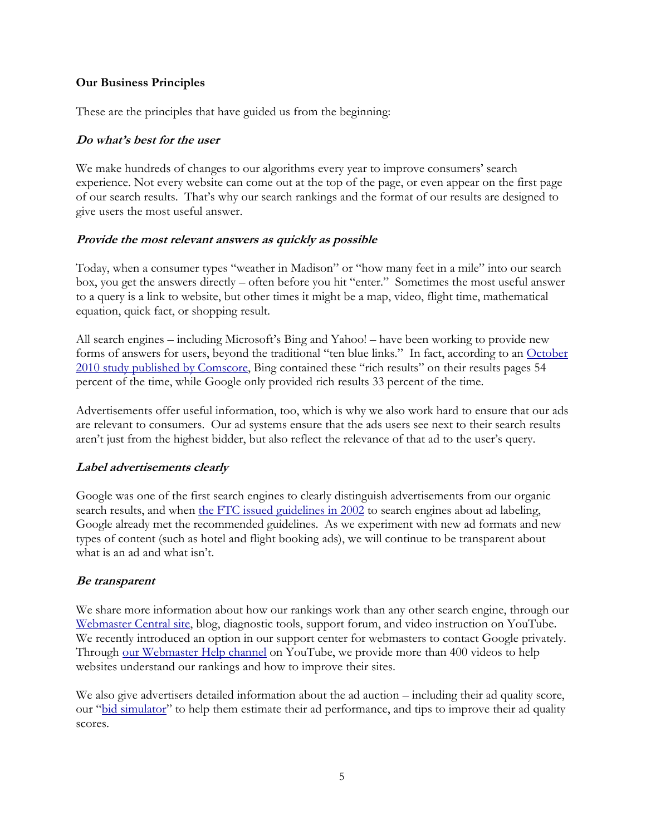#### **Our Business Principles**

These are the principles that have guided us from the beginning:

#### **Do what's best for the user**

We make hundreds of changes to our algorithms every year to improve consumers' search experience. Not every website can come out at the top of the page, or even appear on the first page of our search results. That"s why our search rankings and the format of our results are designed to give users the most useful answer.

#### **Provide the most relevant answers as quickly as possible**

Today, when a consumer types "weather in Madison" or "how many feet in a mile" into our search box, you get the answers directly – often before you hit "enter." Sometimes the most useful answer to a query is a link to website, but other times it might be a map, video, flight time, mathematical equation, quick fact, or shopping result.

All search engines – including Microsoft's Bing and Yahoo! – have been working to provide new forms of answers for users, beyond the traditional "ten blue links." In fact, according to an [October](http://searchenginewatch.com/article/2065196/Universal-Search-Not-All-Blends-are-Created-Equal) 2010 [study](http://searchenginewatch.com/article/2065196/Universal-Search-Not-All-Blends-are-Created-Equal) [published](http://searchenginewatch.com/article/2065196/Universal-Search-Not-All-Blends-are-Created-Equal) [by](http://searchenginewatch.com/article/2065196/Universal-Search-Not-All-Blends-are-Created-Equal) [Comscore,](http://searchenginewatch.com/article/2065196/Universal-Search-Not-All-Blends-are-Created-Equal) Bing contained these "rich results" on their results pages 54 percent of the time, while Google only provided rich results 33 percent of the time.

Advertisements offer useful information, too, which is why we also work hard to ensure that our ads are relevant to consumers. Our ad systems ensure that the ads users see next to their search results aren't just from the highest bidder, but also reflect the relevance of that ad to the user's query.

#### **Label advertisements clearly**

Google was one of the first search engines to clearly distinguish advertisements from our organic search results, and when [the](http://www.ftc.gov/os/closings/staff/commercialalertletter.shtm) [FTC](http://www.ftc.gov/os/closings/staff/commercialalertletter.shtm) [issued](http://www.ftc.gov/os/closings/staff/commercialalertletter.shtm) [guidelines](http://www.ftc.gov/os/closings/staff/commercialalertletter.shtm) [in](http://www.ftc.gov/os/closings/staff/commercialalertletter.shtm) [2002](http://www.ftc.gov/os/closings/staff/commercialalertletter.shtm) to search engines about ad labeling, Google already met the recommended guidelines. As we experiment with new ad formats and new types of content (such as hotel and flight booking ads), we will continue to be transparent about what is an ad and what isn't.

#### **Be transparent**

We share more information about how our rankings work than any other search engine, through our [Webmaster](http://www.google.com/webmasters/) [Central](http://www.google.com/webmasters/) [site,](http://www.google.com/webmasters/) blog, diagnostic tools, support forum, and video instruction on YouTube. We recently introduced an option in our support center for webmasters to contact Google privately. Through [our](http://www.youtube.com/user/GoogleWebmasterHelp) [Webmaster](http://www.youtube.com/user/GoogleWebmasterHelp) [Help](http://www.youtube.com/user/GoogleWebmasterHelp) [channel](http://www.youtube.com/user/GoogleWebmasterHelp) on YouTube, we provide more than 400 videos to help websites understand our rankings and how to improve their sites.

We also give advertisers detailed information about the ad auction – including their ad quality score, our "[bid](http://adwords.google.com/support/aw/bin/answer.py?hl=en&answer=138148) [simulator](http://adwords.google.com/support/aw/bin/answer.py?hl=en&answer=138148)" to help them estimate their ad performance, and tips to improve their ad quality scores.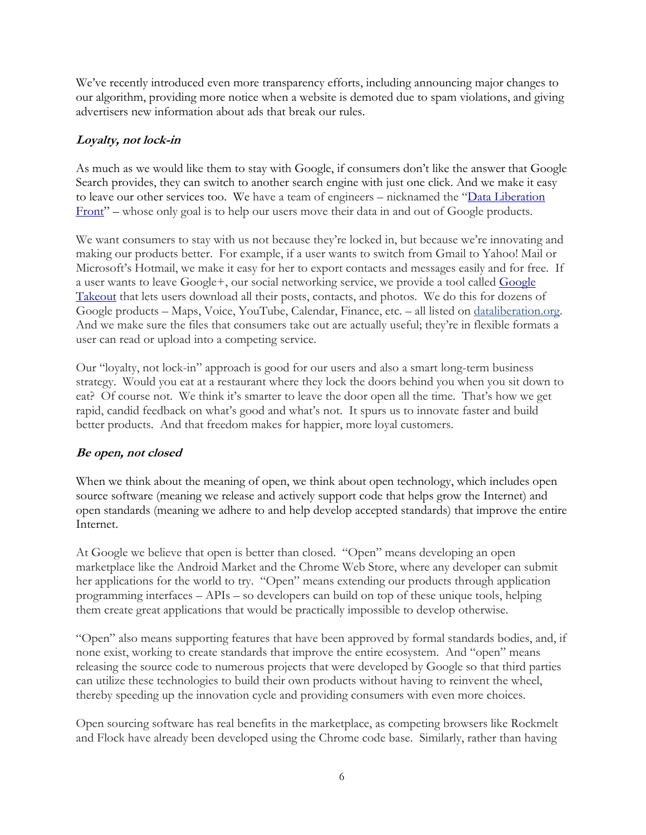We"ve recently introduced even more transparency efforts, including announcing major changes to our algorithm, providing more notice when a website is demoted due to spam violations, and giving advertisers new information about ads that break our rules.

# **Loyalty, not lock-in**

As much as we would like them to stay with Google, if consumers don"t like the answer that Google Search provides, they can switch to another search engine with just one click. And we make it easy to leave our other services too. We have a team of engineers – nicknamed the "[Data](http://www.dataliberation.org/) [Liberation](http://www.dataliberation.org/) [Front](http://www.dataliberation.org/)" – whose only goal is to help our users move their data in and out of Google products.

We want consumers to stay with us not because they're locked in, but because we're innovating and making our products better. For example, if a user wants to switch from Gmail to Yahoo! Mail or Microsoft's Hotmail, we make it easy for her to export contacts and messages easily and for free. If a user wants to leave Google+, our social networking service, we provide a tool called [Google](http://www.google.com/takeout) [Takeout](http://www.google.com/takeout) that lets users download all their posts, contacts, and photos. We do this for dozens of Google products – Maps, Voice, YouTube, Calendar, Finance, etc. – all listed on [dataliberation.org.](http://dataliberation.org/) And we make sure the files that consumers take out are actually useful; they"re in flexible formats a user can read or upload into a competing service.

Our "loyalty, not lock-in" approach is good for our users and also a smart long-term business strategy. Would you eat at a restaurant where they lock the doors behind you when you sit down to eat? Of course not. We think it's smarter to leave the door open all the time. That's how we get rapid, candid feedback on what's good and what's not. It spurs us to innovate faster and build better products. And that freedom makes for happier, more loyal customers.

# **Be open, not closed**

When we think about the meaning of open, we think about open technology, which includes open source software (meaning we release and actively support code that helps grow the Internet) and open standards (meaning we adhere to and help develop accepted standards) that improve the entire Internet.

At Google we believe that open is better than closed. "Open" means developing an open marketplace like the Android Market and the Chrome Web Store, where any developer can submit her applications for the world to try. "Open" means extending our products through application programming interfaces – APIs – so developers can build on top of these unique tools, helping them create great applications that would be practically impossible to develop otherwise.

"Open" also means supporting features that have been approved by formal standards bodies, and, if none exist, working to create standards that improve the entire ecosystem. And "open" means releasing the source code to numerous projects that were developed by Google so that third parties can utilize these technologies to build their own products without having to reinvent the wheel, thereby speeding up the innovation cycle and providing consumers with even more choices.

Open sourcing software has real benefits in the marketplace, as competing browsers like Rockmelt and Flock have already been developed using the Chrome code base. Similarly, rather than having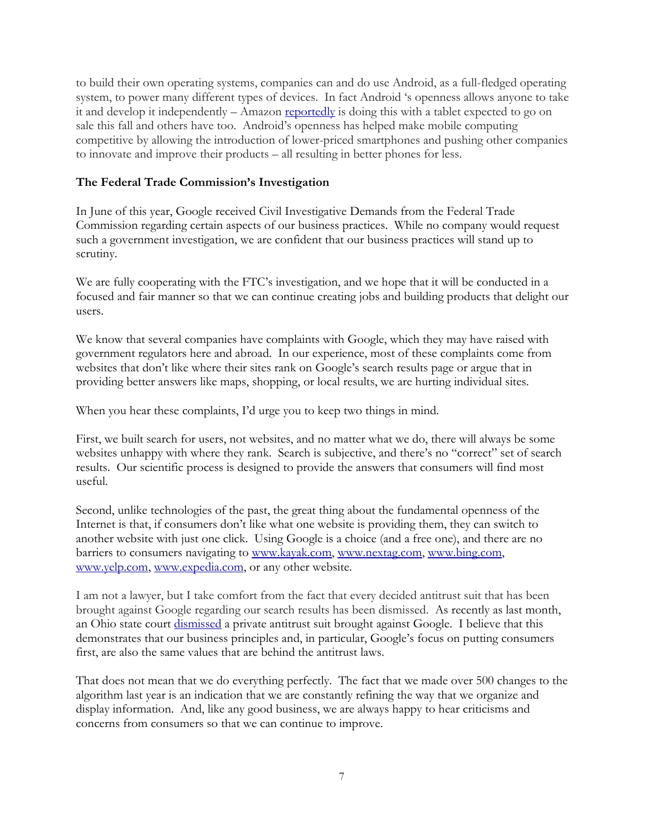to build their own operating systems, companies can and do use Android, as a full-fledged operating system, to power many different types of devices. In fact Android "s openness allows anyone to take it and develop it independently  $-$  Amazon [reportedly](http://www.eweek.com/c/a/Desktops-and-Notebooks/Amazon-Forking-Android-for-Kindle-Tablet-is-Good-Analyst-475720/) is doing this with a tablet expected to go on sale this fall and others have too. Android"s openness has helped make mobile computing competitive by allowing the introduction of lower-priced smartphones and pushing other companies to innovate and improve their products – all resulting in better phones for less.

#### **The Federal Trade Commission's Investigation**

In June of this year, Google received Civil Investigative Demands from the Federal Trade Commission regarding certain aspects of our business practices. While no company would request such a government investigation, we are confident that our business practices will stand up to scrutiny.

We are fully cooperating with the FTC's investigation, and we hope that it will be conducted in a focused and fair manner so that we can continue creating jobs and building products that delight our users.

We know that several companies have complaints with Google, which they may have raised with government regulators here and abroad. In our experience, most of these complaints come from websites that don't like where their sites rank on Google's search results page or argue that in providing better answers like maps, shopping, or local results, we are hurting individual sites.

When you hear these complaints, I"d urge you to keep two things in mind.

First, we built search for users, not websites, and no matter what we do, there will always be some websites unhappy with where they rank. Search is subjective, and there's no "correct" set of search results. Our scientific process is designed to provide the answers that consumers will find most useful.

Second, unlike technologies of the past, the great thing about the fundamental openness of the Internet is that, if consumers don"t like what one website is providing them, they can switch to another website with just one click. Using Google is a choice (and a free one), and there are no barriers to consumers navigating to [www.kayak.com,](http://www.kayak.com/) [www.nextag.com,](http://www.nextag.com/) [www.bing.com,](http://www.bing.com/) [www.yelp.com,](http://www.yelp.com/) [www.expedia.com,](http://www.expedia.com/) or any other website.

I am not a lawyer, but I take comfort from the fact that every decided antitrust suit that has been brought against Google regarding our search results has been dismissed. As recently as last month, an Ohio state court [dismissed](http://online.wsj.com/article/SB10001424053111904583204576544683721148122.html) a private antitrust suit brought against Google. I believe that this demonstrates that our business principles and, in particular, Google's focus on putting consumers first, are also the same values that are behind the antitrust laws.

That does not mean that we do everything perfectly. The fact that we made over 500 changes to the algorithm last year is an indication that we are constantly refining the way that we organize and display information. And, like any good business, we are always happy to hear criticisms and concerns from consumers so that we can continue to improve.